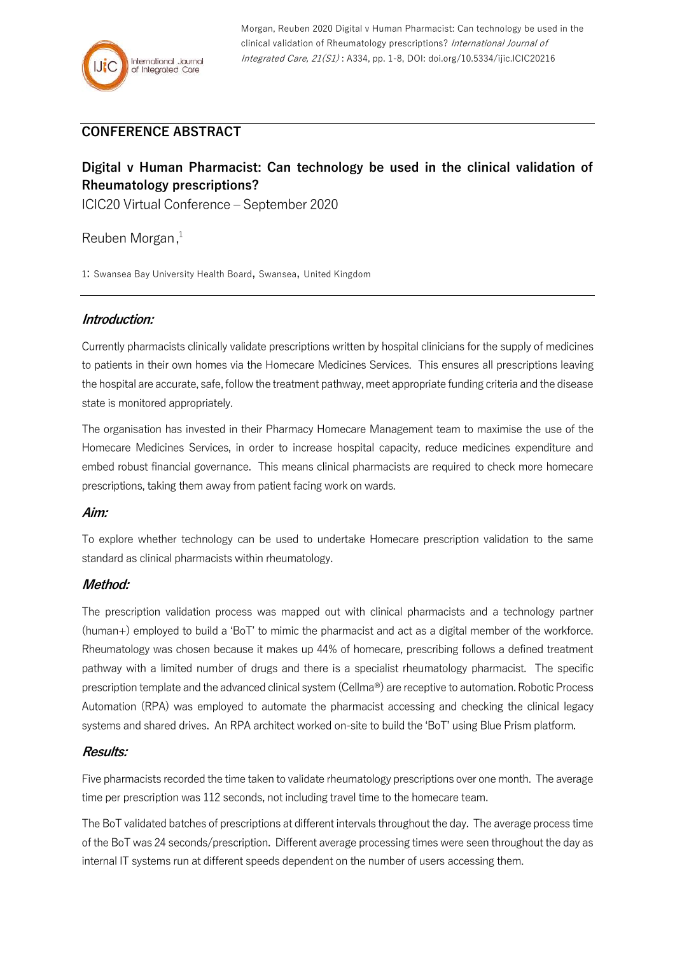## **CONFERENCE ABSTRACT**

# **Digital v Human Pharmacist: Can technology be used in the clinical validation of Rheumatology prescriptions?**

ICIC20 Virtual Conference – September 2020

Reuben Morgan, 1

1: Swansea Bay University Health Board, Swansea, United Kingdom

## **Introduction:**

Currently pharmacists clinically validate prescriptions written by hospital clinicians for the supply of medicines to patients in their own homes via the Homecare Medicines Services. This ensures all prescriptions leaving the hospital are accurate, safe, follow the treatment pathway, meet appropriate funding criteria and the disease state is monitored appropriately.

The organisation has invested in their Pharmacy Homecare Management team to maximise the use of the Homecare Medicines Services, in order to increase hospital capacity, reduce medicines expenditure and embed robust financial governance. This means clinical pharmacists are required to check more homecare prescriptions, taking them away from patient facing work on wards.

#### **Aim:**

To explore whether technology can be used to undertake Homecare prescription validation to the same standard as clinical pharmacists within rheumatology.

## **Method:**

The prescription validation process was mapped out with clinical pharmacists and a technology partner (human+) employed to build a 'BoT' to mimic the pharmacist and act as a digital member of the workforce. Rheumatology was chosen because it makes up 44% of homecare, prescribing follows a defined treatment pathway with a limited number of drugs and there is a specialist rheumatology pharmacist. The specific prescription template and the advanced clinical system(Cellma®) are receptive to automation. Robotic Process Automation (RPA) was employed to automate the pharmacist accessing and checking the clinical legacy systems and shared drives. An RPA architect worked on-site to build the 'BoT' using Blue Prism platform.

## **Results:**

Five pharmacists recorded the time taken to validate rheumatology prescriptions over one month. The average time per prescription was 112 seconds, not including travel time to the homecare team.

The BoT validated batches of prescriptions at different intervals throughout the day. The average process time of the BoT was 24 seconds/prescription. Different average processing times were seen throughout the day as internal IT systems run at different speeds dependent on the number of users accessing them.